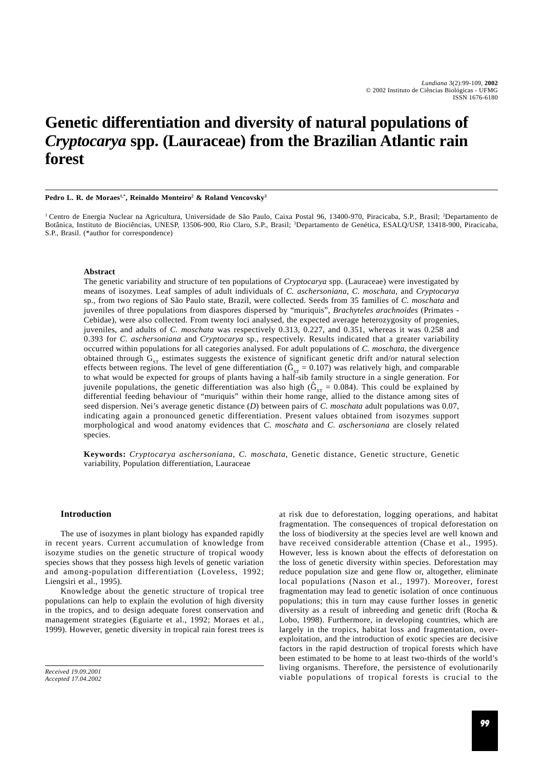# **Genetic differentiation and diversity of natural populations of** *Cryptocarya* **spp. (Lauraceae) from the Brazilian Atlantic rain forest**

**Pedro L. R. de Moraes1,\*, Reinaldo Monteiro2 & Roland Vencovsky3**

<sup>1</sup> Centro de Energia Nuclear na Agricultura, Universidade de São Paulo, Caixa Postal 96, 13400-970, Piracicaba, S.P., Brasil; <sup>2</sup>Departamento de Botânica, Instituto de Biociências, UNESP, 13506-900, Rio Claro, S.P., Brasil; <sup>3</sup>Departamento de Genética, ESALQ/USP, 13418-900, Piracicaba, S.P., Brasil. (\*author for correspondence)

## **Abstract**

The genetic variability and structure of ten populations of *Cryptocarya* spp. (Lauraceae) were investigated by means of isozymes. Leaf samples of adult individuals of *C. aschersoniana*, *C. moschata*, and *Cryptocarya* sp., from two regions of São Paulo state, Brazil, were collected. Seeds from 35 families of *C. moschata* and juveniles of three populations from diaspores dispersed by "muriquis", *Brachyteles arachnoides* (Primates - Cebidae), were also collected. From twenty loci analysed, the expected average heterozygosity of progenies, juveniles, and adults of *C. moschata* was respectively 0.313, 0.227, and 0.351, whereas it was 0.258 and 0.393 for *C. aschersoniana* and *Cryptocarya* sp., respectively. Results indicated that a greater variability occurred within populations for all categories analysed. For adult populations of *C. moschata*, the divergence obtained through  $G_{\rm cr}$  estimates suggests the existence of significant genetic drift and/or natural selection effects between regions. The level of gene differentiation  $(\hat{G}_{ST} = 0.107)$  was relatively high, and comparable to what would be expected for groups of plants having a half-sib family structure in a single generation. For juvenile populations, the genetic differentiation was also high  $(\hat{G}_{ST} = 0.084)$ . This could be explained by differential feeding behaviour of "muriquis" within their home range, allied to the distance among sites of seed dispersion. Nei's average genetic distance (*D*) between pairs of *C. moschata* adult populations was 0.07, indicating again a pronounced genetic differentiation. Present values obtained from isozymes support morphological and wood anatomy evidences that *C. moschata* and *C. aschersoniana* are closely related species.

**Keywords:** *Cryptocarya aschersoniana*, *C. moschata*, Genetic distance, Genetic structure, Genetic variability, Population differentiation, Lauraceae

## **Introduction**

The use of isozymes in plant biology has expanded rapidly in recent years. Current accumulation of knowledge from isozyme studies on the genetic structure of tropical woody species shows that they possess high levels of genetic variation and among-population differentiation (Loveless, 1992; Liengsiri et al., 1995).

Knowledge about the genetic structure of tropical tree populations can help to explain the evolution of high diversity in the tropics, and to design adequate forest conservation and management strategies (Eguiarte et al., 1992; Moraes et al., 1999). However, genetic diversity in tropical rain forest trees is

*Received 19.09.2001 Accepted 17.04.2002* at risk due to deforestation, logging operations, and habitat fragmentation. The consequences of tropical deforestation on the loss of biodiversity at the species level are well known and have received considerable attention (Chase et al., 1995). However, less is known about the effects of deforestation on the loss of genetic diversity within species. Deforestation may reduce population size and gene flow or, altogether, eliminate local populations (Nason et al., 1997). Moreover, forest fragmentation may lead to genetic isolation of once continuous populations; this in turn may cause further losses in genetic diversity as a result of inbreeding and genetic drift (Rocha & Lobo, 1998). Furthermore, in developing countries, which are largely in the tropics, habitat loss and fragmentation, overexploitation, and the introduction of exotic species are decisive factors in the rapid destruction of tropical forests which have been estimated to be home to at least two-thirds of the world's living organisms. Therefore, the persistence of evolutionarily viable populations of tropical forests is crucial to the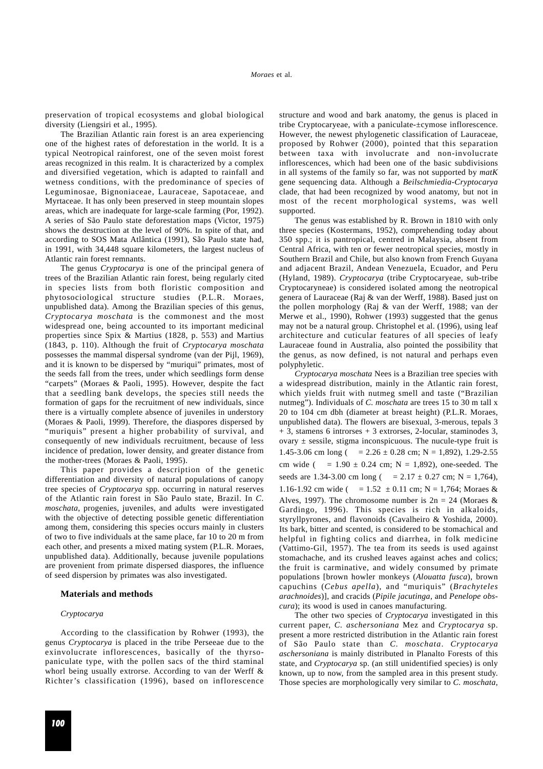preservation of tropical ecosystems and global biological diversity (Liengsiri et al., 1995).

The Brazilian Atlantic rain forest is an area experiencing one of the highest rates of deforestation in the world. It is a typical Neotropical rainforest, one of the seven moist forest areas recognized in this realm. It is characterized by a complex and diversified vegetation, which is adapted to rainfall and wetness conditions, with the predominance of species of Leguminosae, Bignoniaceae, Lauraceae, Sapotaceae, and Myrtaceae. It has only been preserved in steep mountain slopes areas, which are inadequate for large-scale farming (Por, 1992). A series of São Paulo state deforestation maps (Victor, 1975) shows the destruction at the level of 90%. In spite of that, and according to SOS Mata Atlântica (1991), São Paulo state had, in 1991, with 34,448 square kilometers, the largest nucleus of Atlantic rain forest remnants.

The genus *Cryptocarya* is one of the principal genera of trees of the Brazilian Atlantic rain forest, being regularly cited in species lists from both floristic composition and phytosociological structure studies (P.L.R. Moraes, unpublished data). Among the Brazilian species of this genus, *Cryptocarya moschata* is the commonest and the most widespread one, being accounted to its important medicinal properties since Spix & Martius (1828, p. 553) and Martius (1843, p. 110). Although the fruit of *Cryptocarya moschata* possesses the mammal dispersal syndrome (van der Pijl, 1969), and it is known to be dispersed by "muriqui" primates, most of the seeds fall from the trees, under which seedlings form dense "carpets" (Moraes & Paoli, 1995). However, despite the fact that a seedling bank develops, the species still needs the formation of gaps for the recruitment of new individuals, since there is a virtually complete absence of juveniles in understory (Moraes & Paoli, 1999). Therefore, the diaspores dispersed by "muriquis" present a higher probability of survival, and consequently of new individuals recruitment, because of less incidence of predation, lower density, and greater distance from the mother-trees (Moraes & Paoli, 1995).

This paper provides a description of the genetic differentiation and diversity of natural populations of canopy tree species of *Cryptocarya* spp. occurring in natural reserves of the Atlantic rain forest in São Paulo state, Brazil. In *C. moschata*, progenies, juveniles, and adults were investigated with the objective of detecting possible genetic differentiation among them, considering this species occurs mainly in clusters of two to five individuals at the same place, far 10 to 20 m from each other, and presents a mixed mating system (P.L.R. Moraes, unpublished data). Additionally, because juvenile populations are provenient from primate dispersed diaspores, the influence of seed dispersion by primates was also investigated.

# **Materials and methods**

## *Cryptocarya*

According to the classification by Rohwer (1993), the genus *Cryptocarya* is placed in the tribe Perseeae due to the exinvolucrate inflorescences, basically of the thyrsopaniculate type, with the pollen sacs of the third staminal whorl being usually extrorse. According to van der Werff & Richter's classification (1996), based on inflorescence structure and wood and bark anatomy, the genus is placed in tribe Cryptocaryeae, with a paniculate-±cymose inflorescence. However, the newest phylogenetic classification of Lauraceae, proposed by Rohwer (2000), pointed that this separation between taxa with involucrate and non-involucrate inflorescences, which had been one of the basic subdivisions in all systems of the family so far, was not supported by *matK* gene sequencing data. Although a *Beilschmiedia*-*Cryptocarya* clade, that had been recognized by wood anatomy, but not in most of the recent morphological systems, was well supported.

The genus was established by R. Brown in 1810 with only three species (Kostermans, 1952), comprehending today about 350 spp.; it is pantropical, centred in Malaysia, absent from Central Africa, with ten or fewer neotropical species, mostly in Southern Brazil and Chile, but also known from French Guyana and adjacent Brazil, Andean Venezuela, Ecuador, and Peru (Hyland, 1989). *Cryptocarya* (tribe Cryptocaryeae, sub-tribe Cryptocaryneae) is considered isolated among the neotropical genera of Lauraceae (Raj & van der Werff, 1988). Based just on the pollen morphology (Raj & van der Werff, 1988; van der Merwe et al., 1990), Rohwer (1993) suggested that the genus may not be a natural group. Christophel et al. (1996), using leaf architecture and cuticular features of all species of leafy Lauraceae found in Australia, also pointed the possibility that the genus, as now defined, is not natural and perhaps even polyphyletic.

*Cryptocarya moschata* Nees is a Brazilian tree species with a widespread distribution, mainly in the Atlantic rain forest, which yields fruit with nutmeg smell and taste ("Brazilian nutmeg"). Individuals of *C. moschata* are trees 15 to 30 m tall x 20 to 104 cm dbh (diameter at breast height) (P.L.R. Moraes, unpublished data). The flowers are bisexual, 3-merous, tepals 3 + 3, stamens 6 introrses + 3 extrorses, 2-locular, staminodes 3, ovary  $\pm$  sessile, stigma inconspicuous. The nucule-type fruit is 1.45-3.06 cm long ( =  $2.26 \pm 0.28$  cm; N = 1,892), 1.29-2.55 cm wide ( =  $1.90 \pm 0.24$  cm; N = 1,892), one-seeded. The seeds are 1.34-3.00 cm long ( =  $2.17 \pm 0.27$  cm; N = 1,764), 1.16-1.92 cm wide ( =  $1.52 \pm 0.11$  cm; N = 1,764; Moraes & Alves, 1997). The chromosome number is  $2n = 24$  (Moraes & Gardingo, 1996). This species is rich in alkaloids, styryllpyrones, and flavonoids (Cavalheiro & Yoshida, 2000). Its bark, bitter and scented, is considered to be stomachical and helpful in fighting colics and diarrhea, in folk medicine (Vattimo-Gil, 1957). The tea from its seeds is used against stomachache, and its crushed leaves against aches and colics; the fruit is carminative, and widely consumed by primate populations [brown howler monkeys (*Alouatta fusca*), brown capuchins (*Cebus apella*), and "muriquis" (*Brachyteles arachnoides*)], and cracids (*Pipile jacutinga*, and *Penelope obscura*); its wood is used in canoes manufacturing.

The other two species of *Cryptocarya* investigated in this current paper, *C. aschersoniana* Mez and *Cryptocarya* sp. present a more restricted distribution in the Atlantic rain forest of São Paulo state than *C. moschata*. *Cryptocarya aschersoniana* is mainly distributed in Planalto Forests of this state, and *Cryptocarya* sp. (an still unidentified species) is only known, up to now, from the sampled area in this present study. Those species are morphologically very similar to *C. moschata*,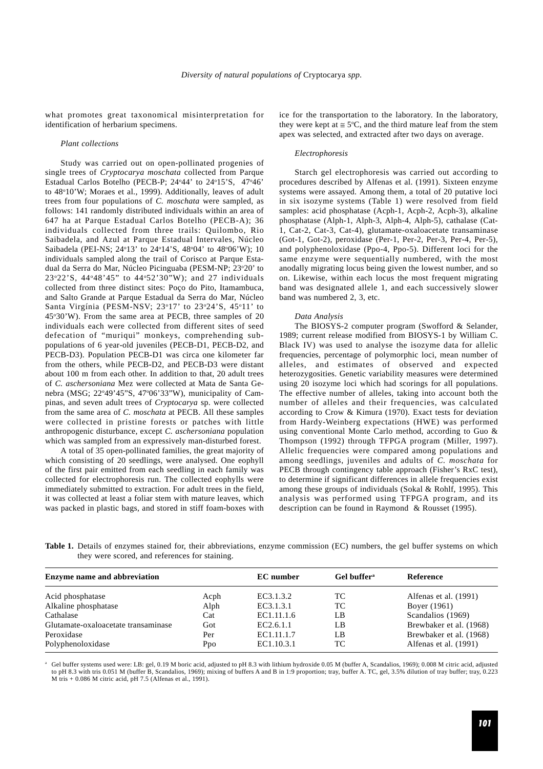what promotes great taxonomical misinterpretation for identification of herbarium specimens.

#### *Plant collections*

Study was carried out on open-pollinated progenies of single trees of *Cryptocarya moschata* collected from Parque Estadual Carlos Botelho (PECB-P; 24°44' to 24°15'S, 47°46' to 48°10'W; Moraes et al., 1999). Additionally, leaves of adult trees from four populations of *C. moschata* were sampled, as follows: 141 randomly distributed individuals within an area of 647 ha at Parque Estadual Carlos Botelho (PECB-A); 36 individuals collected from three trails: Quilombo, Rio Saibadela, and Azul at Parque Estadual Intervales, Núcleo Saibadela (PEI-NS; 24°13' to 24°14'S, 48°04' to 48°06'W); 10 individuals sampled along the trail of Corisco at Parque Estadual da Serra do Mar, Núcleo Picinguaba (PESM-NP; 23°20' to 23o 22'S, 44o48'45" to 44o 52'30"W); and 27 individuals collected from three distinct sites: Poço do Pito, Itamambuca, and Salto Grande at Parque Estadual da Serra do Mar, Núcleo Santa Virgínia (PESM-NSV; 23°17' to 23°24'S, 45°11' to 45°30'W). From the same area at PECB, three samples of 20 individuals each were collected from different sites of seed defecation of "muriqui" monkeys, comprehending subpopulations of 6 year-old juveniles (PECB-D1, PECB-D2, and PECB-D3). Population PECB-D1 was circa one kilometer far from the others, while PECB-D2, and PECB-D3 were distant about 100 m from each other. In addition to that, 20 adult trees of *C. aschersoniana* Mez were collected at Mata de Santa Genebra (MSG; 22°49'45"S, 47°06'33"W), municipality of Campinas, and seven adult trees of *Cryptocarya* sp. were collected from the same area of *C. moschata* at PECB. All these samples were collected in pristine forests or patches with little anthropogenic disturbance, except *C. aschersoniana* population which was sampled from an expressively man-disturbed forest.

A total of 35 open-pollinated families, the great majority of which consisting of 20 seedlings, were analysed. One eophyll of the first pair emitted from each seedling in each family was collected for electrophoresis run. The collected eophylls were immediately submitted to extraction. For adult trees in the field, it was collected at least a foliar stem with mature leaves, which was packed in plastic bags, and stored in stiff foam-boxes with ice for the transportation to the laboratory. In the laboratory, they were kept at  $\leq 5^{\circ}C$ , and the third mature leaf from the stem apex was selected, and extracted after two days on average.

#### *Electrophoresis*

Starch gel electrophoresis was carried out according to procedures described by Alfenas et al. (1991). Sixteen enzyme systems were assayed. Among them, a total of 20 putative loci in six isozyme systems (Table 1) were resolved from field samples: acid phosphatase (Acph-1, Acph-2, Acph-3), alkaline phosphatase (Alph-1, Alph-3, Alph-4, Alph-5), cathalase (Cat-1, Cat-2, Cat-3, Cat-4), glutamate-oxaloacetate transaminase (Got-1, Got-2), peroxidase (Per-1, Per-2, Per-3, Per-4, Per-5), and polyphenoloxidase (Ppo-4, Ppo-5). Different loci for the same enzyme were sequentially numbered, with the most anodally migrating locus being given the lowest number, and so on. Likewise, within each locus the most frequent migrating band was designated allele 1, and each successively slower band was numbered 2, 3, etc.

#### *Data Analysis*

The BIOSYS-2 computer program (Swofford & Selander, 1989; current release modified from BIOSYS-1 by William C. Black IV) was used to analyse the isozyme data for allelic frequencies, percentage of polymorphic loci, mean number of alleles, and estimates of observed and expected heterozygosities. Genetic variability measures were determined using 20 isozyme loci which had scorings for all populations. The effective number of alleles, taking into account both the number of alleles and their frequencies, was calculated according to Crow & Kimura (1970). Exact tests for deviation from Hardy-Weinberg expectations (HWE) was performed using conventional Monte Carlo method, according to Guo & Thompson (1992) through TFPGA program (Miller, 1997). Allelic frequencies were compared among populations and among seedlings, juveniles and adults of *C. moschata* for PECB through contingency table approach (Fisher's RxC test), to determine if significant differences in allele frequencies exist among these groups of individuals (Sokal & Rohlf, 1995). This analysis was performed using TFPGA program, and its description can be found in Raymond & Rousset (1995).

**Table 1.** Details of enzymes stained for, their abbreviations, enzyme commission (EC) numbers, the gel buffer systems on which they were scored, and references for staining.

| <b>Enzyme name and abbreviation</b> | <b>EC</b> number | Gel buffer <sup>a</sup> | Reference |                         |
|-------------------------------------|------------------|-------------------------|-----------|-------------------------|
| Acid phosphatase                    | Acph             | EC3.1.3.2               | ТC        | Alfenas et al. (1991)   |
| Alkaline phosphatase                | Alph             | EC3.1.3.1               | TC        | Boyer (1961)            |
| Cathalase                           | Cat              | EC1.11.1.6              | LB        | Scandalios (1969)       |
| Glutamate-oxaloacetate transaminase | Got              | EC <sub>2.6.1.1</sub>   | LB        | Brewbaker et al. (1968) |
| Peroxidase                          | Per              | EC1.11.1.7              | LB        | Brewbaker et al. (1968) |
| Polyphenoloxidase                   | Ppo              | EC1.10.3.1              | TC        | Alfenas et al. (1991)   |

Gel buffer systems used were: LB: gel, 0.19 M boric acid, adjusted to pH 8.3 with lithium hydroxide 0.05 M (buffer A, Scandalios, 1969); 0.008 M citric acid, adjusted to pH 8.3 with tris 0.051 M (buffer B, Scandalios, 1969); mixing of buffers A and B in 1:9 proportion; tray, buffer A. TC, gel, 3.5% dilution of tray buffer; tray, 0.223 M tris + 0.086 M citric acid, pH 7.5 (Alfenas et al., 1991).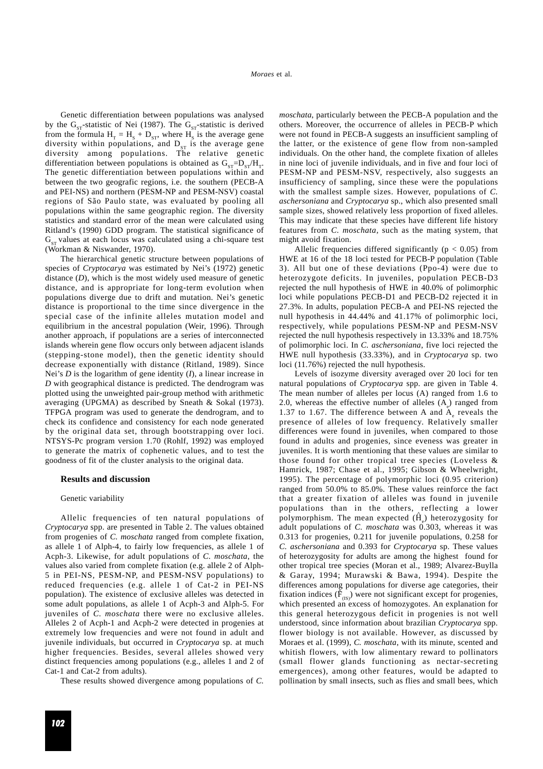Genetic differentiation between populations was analysed by the  $G_{ST}$ -statistic of Nei (1987). The  $G_{ST}$ -statistic is derived from the formula  $H_T = H_s + D_{ST}$ , where  $H_s$  is the average gene diversity within populations, and  $D_{ST}$  is the average gene diversity among populations. The relative genetic differentiation between populations is obtained as  $G_{ST} = D_{ST}/H_{T}$ . The genetic differentiation between populations within and between the two geografic regions, i.e. the southern (PECB-A and PEI-NS) and northern (PESM-NP and PESM-NSV) coastal regions of São Paulo state, was evaluated by pooling all populations within the same geographic region. The diversity statistics and standard error of the mean were calculated using Ritland's (1990) GDD program. The statistical significance of  $G<sub>cr</sub>$  values at each locus was calculated using a chi-square test (Workman & Niswander, 1970).

The hierarchical genetic structure between populations of species of *Cryptocarya* was estimated by Nei's (1972) genetic distance (*D*), which is the most widely used measure of genetic distance, and is appropriate for long-term evolution when populations diverge due to drift and mutation. Nei's genetic distance is proportional to the time since divergence in the special case of the infinite alleles mutation model and equilibrium in the ancestral population (Weir, 1996). Through another approach, if populations are a series of interconnected islands wherein gene flow occurs only between adjacent islands (stepping-stone model), then the genetic identity should decrease exponentially with distance (Ritland, 1989). Since Nei's *D* is the logarithm of gene identity (*I*), a linear increase in *D* with geographical distance is predicted. The dendrogram was plotted using the unweighted pair-group method with arithmetic averaging (UPGMA) as described by Sneath & Sokal (1973). TFPGA program was used to generate the dendrogram, and to check its confidence and consistency for each node generated by the original data set, through bootstrapping over loci. NTSYS-Pc program version 1.70 (Rohlf, 1992) was employed to generate the matrix of cophenetic values, and to test the goodness of fit of the cluster analysis to the original data.

#### **Results and discussion**

#### Genetic variability

Allelic frequencies of ten natural populations of *Cryptocarya* spp. are presented in Table 2. The values obtained from progenies of *C. moschata* ranged from complete fixation, as allele 1 of Alph-4, to fairly low frequencies, as allele 1 of Acph-3. Likewise, for adult populations of *C. moschata*, the values also varied from complete fixation (e.g. allele 2 of Alph-5 in PEI-NS, PESM-NP, and PESM-NSV populations) to reduced frequencies (e.g. allele 1 of Cat-2 in PEI-NS population). The existence of exclusive alleles was detected in some adult populations, as allele 1 of Acph-3 and Alph-5. For juveniles of *C. moschata* there were no exclusive alleles. Alleles 2 of Acph-1 and Acph-2 were detected in progenies at extremely low frequencies and were not found in adult and juvenile individuals, but occurred in *Cryptocarya* sp. at much higher frequencies. Besides, several alleles showed very distinct frequencies among populations (e.g., alleles 1 and 2 of Cat-1 and Cat-2 from adults).

These results showed divergence among populations of *C.*

*moschata*, particularly between the PECB-A population and the others. Moreover, the occurrence of alleles in PECB-P which were not found in PECB-A suggests an insufficient sampling of the latter, or the existence of gene flow from non-sampled individuals. On the other hand, the complete fixation of alleles in nine loci of juvenile individuals, and in five and four loci of PESM-NP and PESM-NSV, respectively, also suggests an insufficiency of sampling, since these were the populations with the smallest sample sizes. However, populations of *C. aschersoniana* and *Cryptocarya* sp., which also presented small sample sizes, showed relatively less proportion of fixed alleles. This may indicate that these species have different life history features from *C. moschata*, such as the mating system, that might avoid fixation.

Allelic frequencies differed significantly ( $p < 0.05$ ) from HWE at 16 of the 18 loci tested for PECB-P population (Table 3). All but one of these deviations (Ppo-4) were due to heterozygote deficits. In juveniles, population PECB-D3 rejected the null hypothesis of HWE in 40.0% of polimorphic loci while populations PECB-D1 and PECB-D2 rejected it in 27.3%. In adults, population PECB-A and PEI-NS rejected the null hypothesis in 44.44% and 41.17% of polimorphic loci, respectively, while populations PESM-NP and PESM-NSV rejected the null hypothesis respectively in 13.33% and 18.75% of polimorphic loci. In *C. aschersoniana*, five loci rejected the HWE null hypothesis (33.33%), and in *Cryptocarya* sp. two loci (11.76%) rejected the null hypothesis.

Levels of isozyme diversity averaged over 20 loci for ten natural populations of *Cryptocarya* spp. are given in Table 4. The mean number of alleles per locus (A) ranged from 1.6 to 2.0, whereas the effective number of alleles  $(A_e)$  ranged from 1.37 to 1.67. The difference between A and  $A_e$  reveals the presence of alleles of low frequency. Relatively smaller differences were found in juveniles, when compared to those found in adults and progenies, since eveness was greater in juveniles. It is worth mentioning that these values are similar to those found for other tropical tree species (Loveless & Hamrick, 1987; Chase et al., 1995; Gibson & Wheelwright, 1995). The percentage of polymorphic loci (0.95 criterion) ranged from 50.0% to 85.0%. These values reinforce the fact that a greater fixation of alleles was found in juvenile populations than in the others, reflecting a lower polymorphism. The mean expected  $(\hat{H}_e)$  heterozygosity for adult populations of *C. moschata* was 0.303, whereas it was 0.313 for progenies, 0.211 for juvenile populations, 0.258 for *C. aschersoniana* and 0.393 for *Cryptocarya* sp. These values of heterozygosity for adults are among the highest found for other tropical tree species (Moran et al., 1989; Alvarez-Buylla & Garay, 1994; Murawski & Bawa, 1994). Despite the differences among populations for diverse age categories, their fixation indices  $(\mathbf{\hat{F}}_{(IS)})$  were not significant except for progenies, which presented an excess of homozygotes. An explanation for this general heterozygous deficit in progenies is not well understood, since information about brazilian *Cryptocarya* spp. flower biology is not available. However, as discussed by Moraes et al. (1999), *C. moschata*, with its minute, scented and whitish flowers, with low alimentary reward to pollinators (small flower glands functioning as nectar-secreting emergences), among other features, would be adapted to pollination by small insects, such as flies and small bees, which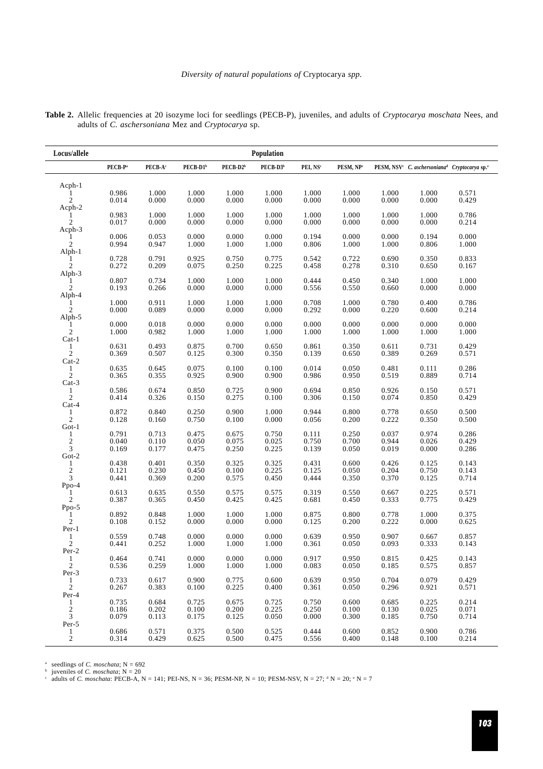| Locus/allele<br>Population       |                     |                     |                      |                      |                      |                      |                       |                |                                                                                   |                |
|----------------------------------|---------------------|---------------------|----------------------|----------------------|----------------------|----------------------|-----------------------|----------------|-----------------------------------------------------------------------------------|----------------|
|                                  | PECB-P <sup>a</sup> | PECB-A <sup>c</sup> | PECB-D1 <sup>b</sup> | PECB-D2 <sup>b</sup> | PECB-D3 <sup>b</sup> | PEI, NS <sup>c</sup> | PESM, NP <sup>c</sup> |                | PESM, NSV <sup>c</sup> C. aschersoniana <sup>d</sup> Cryptocarya sp. <sup>e</sup> |                |
| Acph-1                           |                     |                     |                      |                      |                      |                      |                       |                |                                                                                   |                |
| $\mathfrak{2}$                   | 0.986<br>0.014      | 1.000<br>0.000      | 1.000<br>0.000       | 1.000<br>0.000       | 1.000<br>0.000       | 1.000<br>0.000       | 1.000<br>0.000        | 1.000<br>0.000 | 1.000<br>0.000                                                                    | 0.571<br>0.429 |
| Acph-2                           | 0.983               | 1.000               | 1.000                | 1.000                | 1.000                | 1.000                | 1.000                 | 1.000          | 1.000                                                                             | 0.786          |
| $\mathfrak{2}$<br>Acph-3         | 0.017               | 0.000               | 0.000                | 0.000                | 0.000                | 0.000                | 0.000                 | 0.000          | 0.000                                                                             | 0.214          |
| $\mathfrak{2}$                   | 0.006<br>0.994      | 0.053<br>0.947      | 0.000<br>1.000       | 0.000<br>1.000       | 0.000<br>1.000       | 0.194<br>0.806       | 0.000<br>1.000        | 0.000<br>1.000 | 0.194<br>0.806                                                                    | 0.000<br>1.000 |
| Alph-1                           | 0.728               | 0.791               | 0.925                | 0.750                | 0.775                | 0.542                | 0.722                 | 0.690          | 0.350                                                                             | 0.833          |
| $\mathfrak{2}$<br>Alph-3         | 0.272               | 0.209               | 0.075                | 0.250                | 0.225                | 0.458                | 0.278                 | 0.310          | 0.650                                                                             | 0.167          |
| $\mathfrak{2}$                   | 0.807<br>0.193      | 0.734<br>0.266      | 1.000<br>0.000       | 1.000<br>0.000       | 1.000<br>0.000       | 0.444<br>0.556       | 0.450<br>0.550        | 0.340<br>0.660 | 1.000<br>0.000                                                                    | 1.000<br>0.000 |
| Alph-4<br>$\overline{c}$         | 1.000<br>0.000      | 0.911<br>0.089      | 1.000<br>0.000       | 1.000<br>0.000       | 1.000<br>0.000       | 0.708<br>0.292       | 1.000<br>0.000        | 0.780<br>0.220 | 0.400<br>0.600                                                                    | 0.786<br>0.214 |
| Alph-5                           | 0.000               | 0.018               | 0.000                | 0.000                | 0.000                | 0.000                | 0.000                 | 0.000          | 0.000                                                                             | 0.000          |
| $\mathfrak{2}$                   | 1.000               | 0.982               | 1.000                | 1.000                | 1.000                | 1.000                | 1.000                 | 1.000          | 1.000                                                                             | 1.000          |
| $Cat-1$<br>$\mathfrak{2}$        | 0.631<br>0.369      | 0.493<br>0.507      | 0.875<br>0.125       | 0.700<br>0.300       | 0.650<br>0.350       | 0.861<br>0.139       | 0.350<br>0.650        | 0.611<br>0.389 | 0.731<br>0.269                                                                    | 0.429<br>0.571 |
| $Cat-2$                          |                     |                     |                      |                      |                      |                      |                       |                |                                                                                   |                |
| 1<br>$\mathbf{2}$                | 0.635<br>0.365      | 0.645<br>0.355      | 0.075<br>0.925       | 0.100<br>0.900       | 0.100<br>0.900       | 0.014<br>0.986       | 0.050<br>0.950        | 0.481<br>0.519 | 0.111<br>0.889                                                                    | 0.286<br>0.714 |
| $Cat-3$<br>1<br>$\sqrt{2}$       | 0.586<br>0.414      | 0.674<br>0.326      | 0.850<br>0.150       | 0.725<br>0.275       | 0.900<br>0.100       | 0.694<br>0.306       | 0.850<br>0.150        | 0.926<br>0.074 | 0.150<br>0.850                                                                    | 0.571<br>0.429 |
| $Cat-4$<br>1                     | 0.872               | 0.840               | 0.250                | 0.900                | 1.000                | 0.944                | 0.800                 | 0.778          | 0.650                                                                             | 0.500          |
| $\sqrt{2}$<br>$Got-1$            | 0.128               | 0.160               | 0.750                | 0.100                | 0.000                | 0.056                | 0.200                 | 0.222          | 0.350                                                                             | 0.500          |
| 1                                | 0.791<br>0.040      | 0.713<br>0.110      | 0.475<br>0.050       | 0.675<br>0.075       | 0.750<br>0.025       | 0.111<br>0.750       | 0.250<br>0.700        | 0.037<br>0.944 | 0.974<br>0.026                                                                    | 0.286<br>0.429 |
| $\frac{2}{3}$                    | 0.169               | 0.177               | 0.475                | 0.250                | 0.225                | 0.139                | 0.050                 | 0.019          | 0.000                                                                             | 0.286          |
| Got- $2$<br>$\mathbf{1}$         | 0.438               | 0.401               | 0.350                | 0.325                | 0.325                | 0.431                | 0.600                 | 0.426          | 0.125                                                                             | 0.143          |
| $\frac{2}{3}$                    | 0.121<br>0.441      | 0.230<br>0.369      | 0.450<br>0.200       | 0.100<br>0.575       | 0.225<br>0.450       | 0.125<br>0.444       | 0.050<br>0.350        | 0.204<br>0.370 | 0.750<br>0.125                                                                    | 0.143<br>0.714 |
| $Ppo-4$<br>1                     | 0.613               | 0.635               | 0.550                | 0.575                | 0.575                | 0.319                | 0.550                 | 0.667          | 0.225                                                                             | 0.571          |
| $\boldsymbol{2}$<br>Ppo-5        | 0.387               | 0.365               | 0.450                | 0.425                | 0.425                | 0.681                | 0.450                 | 0.333          | 0.775                                                                             | 0.429          |
| 1<br>$\sqrt{2}$                  | 0.892<br>0.108      | 0.848<br>0.152      | 1.000<br>0.000       | 1.000<br>0.000       | 1.000<br>0.000       | 0.875<br>0.125       | 0.800<br>0.200        | 0.778<br>0.222 | 1.000<br>0.000                                                                    | 0.375<br>0.625 |
| $Per-1$                          |                     |                     |                      |                      |                      |                      |                       |                |                                                                                   |                |
| 1<br>$\overline{c}$              | 0.559<br>0.441      | 0.748<br>0.252      | 0.000<br>1.000       | 0.000<br>1.000       | 0.000<br>1.000       | 0.639<br>0.361       | 0.950<br>0.050        | 0.907<br>0.093 | 0.667<br>0.333                                                                    | 0.857<br>0.143 |
| Per-2<br>1                       | 0.464               | 0.741               | 0.000                | 0.000                | 0.000                | 0.917                | 0.950                 | 0.815          | 0.425                                                                             | 0.143          |
| $\boldsymbol{2}$<br>$Per-3$      | 0.536               | 0.259               | 1.000                | 1.000                | 1.000                | 0.083                | 0.050                 | 0.185          | 0.575                                                                             | 0.857          |
| 1<br>$\boldsymbol{2}$            | 0.733<br>0.267      | 0.617<br>0.383      | 0.900<br>0.100       | 0.775<br>0.225       | 0.600<br>0.400       | 0.639<br>0.361       | 0.950<br>0.050        | 0.704<br>0.296 | 0.079<br>0.921                                                                    | 0.429<br>0.571 |
| Per-4<br>1                       | 0.735               | 0.684               | 0.725                | 0.675                | 0.725                | 0.750                | 0.600                 | 0.685          | 0.225                                                                             | 0.214          |
| $\overline{c}$<br>$\mathfrak{Z}$ | 0.186<br>0.079      | 0.202<br>0.113      | $0.100\,$<br>0.175   | 0.200<br>0.125       | 0.225<br>0.050       | 0.250<br>0.000       | 0.100<br>0.300        | 0.130<br>0.185 | 0.025<br>0.750                                                                    | 0.071<br>0.714 |
| Per-5                            | 0.686               | 0.571               |                      | 0.500                | 0.525                |                      | 0.600                 |                | 0.900                                                                             |                |
| $\mathbf{1}$<br>$\sqrt{2}$       | 0.314               | 0.429               | 0.375<br>0.625       | 0.500                | 0.475                | 0.444<br>0.556       | 0.400                 | 0.852<br>0.148 | 0.100                                                                             | 0.786<br>0.214 |

**Table 2.** Allelic frequencies at 20 isozyme loci for seedlings (PECB-P), juveniles, and adults of *Cryptocarya moschata* Nees, and adults of *C. aschersoniana* Mez and *Cryptocarya* sp.

<sup>a</sup> seedlings of *C. moschata*;  $N = 692$ 

<sup>b</sup> juveniles of *C. moschata*; N = 20<br>
<sup>c</sup> adults of *C. moschata*: PECB-A, N = 141; PEI-NS, N = 36; PESM-NP, N = 10; PESM-NSV, N = 27; <sup>d</sup> N = 20; <sup>e</sup> N = 7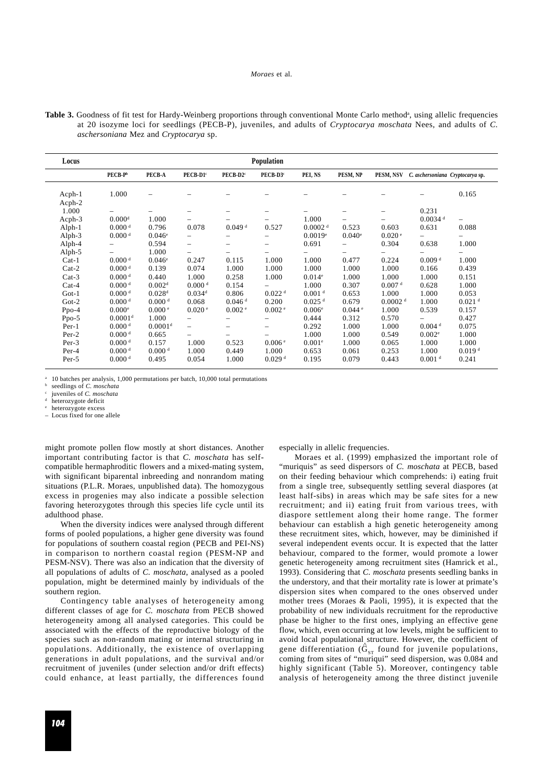Table 3. Goodness of fit test for Hardy-Weinberg proportions through conventional Monte Carlo method<sup>a</sup>, using allelic frequencies at 20 isozyme loci for seedlings (PECB-P), juveniles, and adults of *Cryptocarya moschata* Nees, and adults of *C. aschersoniana* Mez and *Cryptocarya* sp.

| Population<br>Locus |                     |                     |                          |                          |                          |                      |                          |                     |                                  |                          |
|---------------------|---------------------|---------------------|--------------------------|--------------------------|--------------------------|----------------------|--------------------------|---------------------|----------------------------------|--------------------------|
|                     | $PECB-Pb$           | PECB-A              | PECB-D1°                 | PECB-D2 <sup>c</sup>     | PECB-D3 <sup>c</sup>     | PEI, NS              | PESM, NP                 | PESM, NSV           | C. aschersoniana Cryptocarya sp. |                          |
| Acph-1<br>Acph-2    | 1.000               |                     |                          |                          |                          |                      |                          |                     |                                  | 0.165                    |
| 1.000               |                     |                     |                          |                          |                          |                      | -                        |                     | 0.231                            |                          |
| Acph-3              | 0.000 <sup>d</sup>  | 1.000               |                          |                          |                          | 1.000                | $\overline{\phantom{0}}$ |                     | $0.0034$ <sup>d</sup>            | $\overline{\phantom{0}}$ |
| Alph-1              | 0.000 <sup>d</sup>  | 0.796               | 0.078                    | $0.049$ <sup>d</sup>     | 0.527                    | 0.0002 <sup>d</sup>  | 0.523                    | 0.603               | 0.631                            | 0.088                    |
| Alph-3              | 0.000 <sup>d</sup>  | $0.046^{\circ}$     |                          | —                        |                          | 0.0019e              | $0.040$ <sup>e</sup>     | 0.020 e             |                                  |                          |
| Alph-4              |                     | 0.594               | $\overline{\phantom{0}}$ | $\overline{\phantom{0}}$ | $\overline{\phantom{0}}$ | 0.691                |                          | 0.304               | 0.638                            | 1.000                    |
| Alph-5              |                     | 1.000               |                          | -                        |                          |                      | Ξ.                       |                     |                                  |                          |
| $Cat-1$             | 0.000 <sup>d</sup>  | $0.046^{\circ}$     | 0.247                    | 0.115                    | 1.000                    | 1.000                | 0.477                    | 0.224               | 0.009 <sup>d</sup>               | 1.000                    |
| $Cat-2$             | 0.000 <sup>d</sup>  | 0.139               | 0.074                    | 1.000                    | 1.000                    | 1.000                | 1.000                    | 1.000               | 0.166                            | 0.439                    |
| $Cat-3$             | 0.000 <sup>d</sup>  | 0.440               | 1.000                    | 0.258                    | 1.000                    | 0.014e               | 1.000                    | 1.000               | 1.000                            | 0.151                    |
| $Cat-4$             | 0.000 <sup>d</sup>  | 0.002 <sup>d</sup>  | 0.000 <sup>d</sup>       | 0.154                    |                          | 1.000                | 0.307                    | 0.007 <sup>d</sup>  | 0.628                            | 1.000                    |
| $Got-1$             | 0.000 <sup>d</sup>  | 0.028 <sup>d</sup>  | $0.034$ <sup>d</sup>     | 0.806                    | 0.022 <sup>d</sup>       | 0.001 <sup>d</sup>   | 0.653                    | 1.000               | 1.000                            | 0.053                    |
| $Got-2$             | 0.000 <sup>d</sup>  | 0.000 <sup>d</sup>  | 0.068                    | $0.046$ <sup>d</sup>     | 0.200                    | $0.025$ <sup>d</sup> | 0.679                    | 0.0002 <sup>d</sup> | 1.000                            | $0.021$ <sup>d</sup>     |
| $Ppo-4$             | 0.000e              | 0.000 e             | 0.020 e                  | 0.002 <sup>e</sup>       | 0.002 <sup>e</sup>       | 0.006 <sup>e</sup>   | $0.044$ $\degree$        | 1.000               | 0.539                            | 0.157                    |
| Ppo-5               | 0.0001 <sup>d</sup> | 1.000               | $\overline{\phantom{0}}$ | $\qquad \qquad -$        |                          | 0.444                | 0.312                    | 0.570               | Ξ.                               | 0.427                    |
| $Per-1$             | 0.000 <sup>d</sup>  | 0.0001 <sup>d</sup> | $-$                      | $\overline{\phantom{0}}$ | $\overline{\phantom{0}}$ | 0.292                | 1.000                    | 1.000               | 0.004 <sup>d</sup>               | 0.075                    |
| Per-2               | 0.000 <sup>d</sup>  | 0.665               |                          | —                        |                          | 1.000                | 1.000                    | 0.549               | 0.002 <sup>e</sup>               | 1.000                    |
| Per-3               | 0.000 <sup>d</sup>  | 0.157               | 1.000                    | 0.523                    | 0.006 <sup>e</sup>       | 0.001 <sup>e</sup>   | 1.000                    | 0.065               | 1.000                            | 1.000                    |
| Per-4               | 0.000 <sup>d</sup>  | 0.000 <sup>d</sup>  | 1.000                    | 0.449                    | 1.000                    | 0.653                | 0.061                    | 0.253               | 1.000                            | 0.019 <sup>d</sup>       |
| Per-5               | 0.000 <sup>d</sup>  | 0.495               | 0.054                    | 1.000                    | 0.029 <sup>d</sup>       | 0.195                | 0.079                    | 0.443               | 0.001 <sup>d</sup>               | 0.241                    |

<sup>a</sup> 10 batches per analysis, 1,000 permutations per batch, 10,000 total permutations

seedlings of *C. moschata* 

juveniles of *C. moschata* 

heterozygote deficit heterozygote excess

– Locus fixed for one allele

might promote pollen flow mostly at short distances. Another important contributing factor is that *C. moschata* has selfcompatible hermaphroditic flowers and a mixed-mating system, with significant biparental inbreeding and nonrandom mating situations (P.L.R. Moraes, unpublished data). The homozygous excess in progenies may also indicate a possible selection favoring heterozygotes through this species life cycle until its adulthood phase.

When the diversity indices were analysed through different forms of pooled populations, a higher gene diversity was found for populations of southern coastal region (PECB and PEI-NS) in comparison to northern coastal region (PESM-NP and PESM-NSV). There was also an indication that the diversity of all populations of adults of *C. moschata*, analysed as a pooled population, might be determined mainly by individuals of the southern region.

Contingency table analyses of heterogeneity among different classes of age for *C. moschata* from PECB showed heterogeneity among all analysed categories. This could be associated with the effects of the reproductive biology of the species such as non-random mating or internal structuring in populations. Additionally, the existence of overlapping generations in adult populations, and the survival and/or recruitment of juveniles (under selection and/or drift effects) could enhance, at least partially, the differences found especially in allelic frequencies.

Moraes et al. (1999) emphasized the important role of "muriquis" as seed dispersors of *C. moschata* at PECB, based on their feeding behaviour which comprehends: i) eating fruit from a single tree, subsequently settling several diaspores (at least half-sibs) in areas which may be safe sites for a new recruitment; and ii) eating fruit from various trees, with diaspore settlement along their home range. The former behaviour can establish a high genetic heterogeneity among these recruitment sites, which, however, may be diminished if several independent events occur. It is expected that the latter behaviour, compared to the former, would promote a lower genetic heterogeneity among recruitment sites (Hamrick et al., 1993). Considering that *C. moschata* presents seedling banks in the understory, and that their mortality rate is lower at primate's dispersion sites when compared to the ones observed under mother trees (Moraes & Paoli, 1995), it is expected that the probability of new individuals recruitment for the reproductive phase be higher to the first ones, implying an effective gene flow, which, even occurring at low levels, might be sufficient to avoid local populational structure. However, the coefficient of avoid focal populational structure. However, the electricity of gene differentiation  $(\hat{G}_{ST}$  found for juvenile populations, coming from sites of "muriqui" seed dispersion, was 0.084 and highly significant (Table 5). Moreover, contingency table analysis of heterogeneity among the three distinct juvenile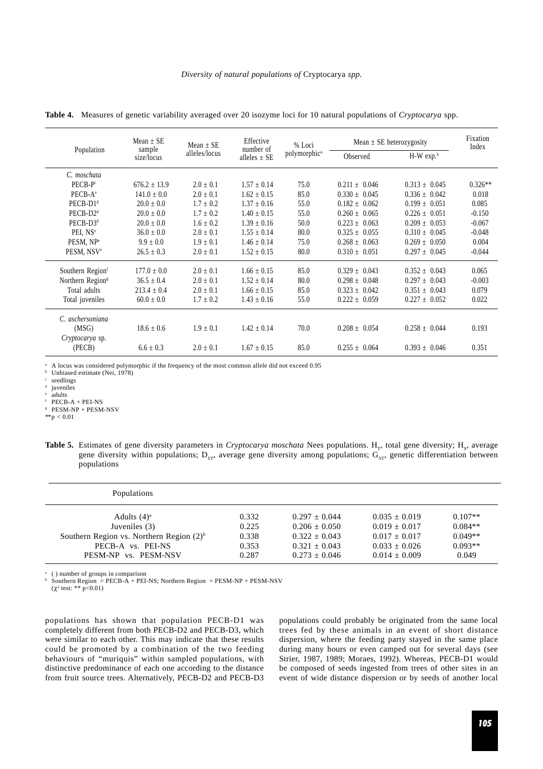|                              | $Mean + SE$          | Mean $\pm$ SE | Effective<br>number of | % Loci                   | Mean $\pm$ SE heterozygosity | Fixation<br>Index |           |
|------------------------------|----------------------|---------------|------------------------|--------------------------|------------------------------|-------------------|-----------|
| Population                   | sample<br>size/locus | alleles/locus | alleles $\pm$ SE       | polymorphic <sup>a</sup> | Observed                     | $H-W$ exp. $b$    |           |
| C. moschata                  |                      |               |                        |                          |                              |                   |           |
| PECB-P <sup>c</sup>          | $676.2 \pm 13.9$     | $2.0 \pm 0.1$ | $1.57 \pm 0.14$        | 75.0                     | $0.211 \pm 0.046$            | $0.313 \pm 0.045$ | $0.326**$ |
| $PECB-Ae$                    | $141.0 \pm 0.0$      | $2.0 \pm 0.1$ | $1.62 \pm 0.15$        | 85.0                     | $0.330 \pm 0.045$            | $0.336 \pm 0.042$ | 0.018     |
| PECB-D1 <sup>d</sup>         | $20.0 \pm 0.0$       | $1.7 \pm 0.2$ | $1.37 \pm 0.16$        | 55.0                     | $0.182 \pm 0.062$            | $0.199 \pm 0.051$ | 0.085     |
| PECB-D2 <sup>d</sup>         | $20.0 + 0.0$         | $1.7 \pm 0.2$ | $1.40 + 0.15$          | 55.0                     | $0.260 + 0.065$              | $0.226 \pm 0.051$ | $-0.150$  |
| $PECB-D3d$                   | $20.0 \pm 0.0$       | $1.6 \pm 0.2$ | $1.39 + 0.16$          | 50.0                     | $0.223 + 0.063$              | $0.209 + 0.053$   | $-0.067$  |
| PEI. NS <sup>e</sup>         | $36.0 \pm 0.0$       | $2.0 \pm 0.1$ | $1.55 \pm 0.14$        | 80.0                     | $0.325 \pm 0.055$            | $0.310 \pm 0.045$ | $-0.048$  |
| PESM, NP <sup>e</sup>        | $9.9 \pm 0.0$        | $1.9 \pm 0.1$ | $1.46 \pm 0.14$        | 75.0                     | $0.268 \pm 0.063$            | $0.269 \pm 0.050$ | 0.004     |
| PESM, NSV <sup>e</sup>       | $26.5 \pm 0.3$       | $2.0 \pm 0.1$ | $1.52 \pm 0.15$        | 80.0                     | $0.310 \pm 0.051$            | $0.297 \pm 0.045$ | $-0.044$  |
| Southern Region              | $177.0 \pm 0.0$      | $2.0 \pm 0.1$ | $1.66 \pm 0.15$        | 85.0                     | $0.329 \pm 0.043$            | $0.352 \pm 0.043$ | 0.065     |
| Northern Region <sup>s</sup> | $36.5 \pm 0.4$       | $2.0 \pm 0.1$ | $1.52 \pm 0.14$        | 80.0                     | $0.298 \pm 0.048$            | $0.297 + 0.043$   | $-0.003$  |
| Total adults                 | $213.4 + 0.4$        | $2.0 \pm 0.1$ | $1.66 \pm 0.15$        | 85.0                     | $0.323 \pm 0.042$            | $0.351 \pm 0.043$ | 0.079     |
| Total juveniles              | $60.0 \pm 0.0$       | $1.7 \pm 0.2$ | $1.43 \pm 0.16$        | 55.0                     | $0.222 \pm 0.059$            | $0.227 \pm 0.052$ | 0.022     |
| C. aschersoniana             |                      |               |                        |                          |                              |                   |           |
| (MSG)                        | $18.6 \pm 0.6$       | $1.9 \pm 0.1$ | $1.42 \pm 0.14$        | 70.0                     | $0.208 \pm 0.054$            | $0.258 \pm 0.044$ | 0.193     |
| Cryptocarya sp.              |                      |               |                        |                          |                              |                   |           |
| (PECB)                       | $6.6 \pm 0.3$        | $2.0 \pm 0.1$ | $1.67 \pm 0.15$        | 85.0                     | $0.255 \pm 0.064$            | $0.393 \pm 0.046$ | 0.351     |

**Table 4.** Measures of genetic variability averaged over 20 isozyme loci for 10 natural populations of *Cryptocarya* spp.

<sup>a</sup> A locus was considered polymorphic if the frequency of the most common allele did not exceed 0.95

Unbiased estimate (Nei, 1978)

 $\frac{c}{d}$  seedlings

iuveniles

adults

 $F$  PECB-A + PEI-NS

<sup>g</sup> PESM-NP + PESM-NSV

 $*$  $p < 0.01$ 

Table 5. Estimates of gene diversity parameters in *Cryptocarya moschata* Nees populations. H<sub>r</sub>, total gene diversity; H<sub>s</sub>, average gene diversity within populations;  $D_{ST}$ , average gene diversity among populations;  $G_{ST}$ , genetic differentiation between populations

| Populations                                   |       |                 |                 |           |
|-----------------------------------------------|-------|-----------------|-----------------|-----------|
| Adults $(4)^a$                                | 0.332 | $0.297 + 0.044$ | $0.035 + 0.019$ | $0.107**$ |
| Juveniles (3)                                 | 0.225 | $0.206 + 0.050$ | $0.019 + 0.017$ | $0.084**$ |
| Southern Region vs. Northern Region $(2)^{b}$ | 0.338 | $0.322 + 0.043$ | $0.017 + 0.017$ | $0.049**$ |
| PECB-A vs. PEI-NS                             | 0.353 | $0.321 + 0.043$ | $0.033 + 0.026$ | $0.093**$ |
| PESM-NP vs. PESM-NSV                          | 0.287 | $0.273 + 0.046$ | $0.014 + 0.009$ | 0.049     |

( ) number of groups in comparison

 $b$  Southern Region = PECB-A + PEI-NS; Northern Region = PESM-NP + PESM-NSV  $(\chi^2 \text{ test: } ** \text{ p<0.01})$ 

populations has shown that population PECB-D1 was completely different from both PECB-D2 and PECB-D3, which were similar to each other. This may indicate that these results could be promoted by a combination of the two feeding behaviours of "muriquis" within sampled populations, with distinctive predominance of each one according to the distance from fruit source trees. Alternatively, PECB-D2 and PECB-D3

populations could probably be originated from the same local trees fed by these animals in an event of short distance dispersion, where the feeding party stayed in the same place during many hours or even camped out for several days (see Strier, 1987, 1989; Moraes, 1992). Whereas, PECB-D1 would be composed of seeds ingested from trees of other sites in an event of wide distance dispersion or by seeds of another local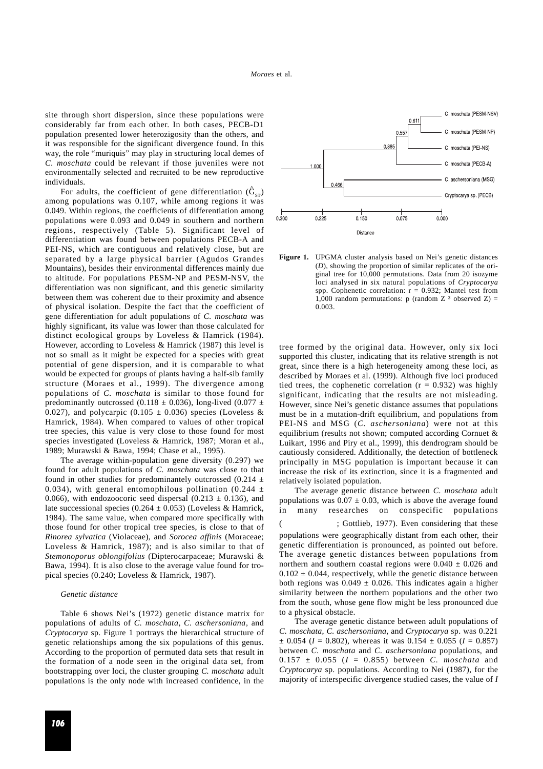site through short dispersion, since these populations were considerably far from each other. In both cases, PECB-D1 population presented lower heterozigosity than the others, and it was responsible for the significant divergence found. In this way, the role "muriquis" may play in structuring local demes of *C. moschata* could be relevant if those juveniles were not environmentally selected and recruited to be new reproductive individuals.

For adults, the coefficient of gene differentiation  $(\hat{G}_{ST})$ among populations was 0.107, while among regions it was 0.049. Within regions, the coefficients of differentiation among populations were 0.093 and 0.049 in southern and northern regions, respectively (Table 5). Significant level of differentiation was found between populations PECB-A and PEI-NS, which are contiguous and relatively close, but are separated by a large physical barrier (Agudos Grandes Mountains), besides their environmental differences mainly due to altitude. For populations PESM-NP and PESM-NSV, the differentiation was non significant, and this genetic similarity between them was coherent due to their proximity and absence of physical isolation. Despite the fact that the coefficient of gene differentiation for adult populations of *C. moschata* was highly significant, its value was lower than those calculated for distinct ecological groups by Loveless & Hamrick (1984). However, according to Loveless & Hamrick (1987) this level is not so small as it might be expected for a species with great potential of gene dispersion, and it is comparable to what would be expected for groups of plants having a half-sib family structure (Moraes et al., 1999). The divergence among populations of *C. moschata* is similar to those found for predominantly outcrossed (0.118  $\pm$  0.036), long-lived (0.077  $\pm$ 0.027), and polycarpic (0.105  $\pm$  0.036) species (Loveless & Hamrick, 1984). When compared to values of other tropical tree species, this value is very close to those found for most species investigated (Loveless & Hamrick, 1987; Moran et al., 1989; Murawski & Bawa, 1994; Chase et al., 1995).

The average within-population gene diversity (0.297) we found for adult populations of *C. moschata* was close to that found in other studies for predominantely outcrossed (0.214  $\pm$ 0.034), with general entomophilous pollination (0.244  $\pm$ 0.066), with endozoocoric seed dispersal (0.213  $\pm$  0.136), and late successional species (0.264  $\pm$  0.053) (Loveless & Hamrick, 1984). The same value, when compared more specifically with those found for other tropical tree species, is close to that of *Rinorea sylvatica* (Violaceae), and *Sorocea affinis* (Moraceae; Loveless & Hamrick, 1987); and is also similar to that of *Stemonoporus oblongifolius* (Dipterocarpaceae; Murawski & Bawa, 1994). It is also close to the average value found for tropical species (0.240; Loveless & Hamrick, 1987).

#### *Genetic distance*

Table 6 shows Nei's (1972) genetic distance matrix for populations of adults of *C. moschata*, *C. aschersoniana*, and *Cryptocarya* sp. Figure 1 portrays the hierarchical structure of genetic relationships among the six populations of this genus. According to the proportion of permuted data sets that result in the formation of a node seen in the original data set, from bootstrapping over loci, the cluster grouping *C. moschata* adult populations is the only node with increased confidence, in the



**Figure 1.** UPGMA cluster analysis based on Nei's genetic distances (*D*), showing the proportion of similar replicates of the original tree for 10,000 permutations. Data from 20 isozyme loci analysed in six natural populations of *Cryptocarya* spp. Cophenetic correlation:  $r = 0.932$ ; Mantel test from 1,000 random permutations: p (random Z  $3$  observed Z) = 0.003.

tree formed by the original data. However, only six loci supported this cluster, indicating that its relative strength is not great, since there is a high heterogeneity among these loci, as described by Moraes et al. (1999). Although five loci produced tied trees, the cophenetic correlation ( $r = 0.932$ ) was highly significant, indicating that the results are not misleading. However, since Nei's genetic distance assumes that populations must be in a mutation-drift equilibrium, and populations from PEI-NS and MSG (*C. aschersoniana*) were not at this equilibrium (results not shown; computed according Cornuet & Luikart, 1996 and Piry et al., 1999), this dendrogram should be cautiously considered. Additionally, the detection of bottleneck principally in MSG population is important because it can increase the risk of its extinction, since it is a fragmented and relatively isolated population.

The average genetic distance between *C. moschata* adult populations was  $0.07 \pm 0.03$ , which is above the average found in many researches on conspecific populations ; Gottlieb, 1977). Even considering that these populations were geographically distant from each other, their genetic differentiation is pronounced, as pointed out before. The average genetic distances between populations from northern and southern coastal regions were  $0.040 \pm 0.026$  and  $0.102 \pm 0.044$ , respectively, while the genetic distance between both regions was  $0.049 \pm 0.026$ . This indicates again a higher similarity between the northern populations and the other two from the south, whose gene flow might be less pronounced due

The average genetic distance between adult populations of *C. moschata*, *C. aschersoniana*, and *Cryptocarya* sp. was 0.221  $\pm$  0.054 (*I* = 0.802), whereas it was 0.154  $\pm$  0.055 (*I* = 0.857) between *C. moschata* and *C. aschersoniana* populations, and  $0.157 \pm 0.055$  ( $I = 0.855$ ) between *C. moschata* and *Cryptocarya* sp. populations. According to Nei (1987), for the majority of interspecific divergence studied cases, the value of *I*

to a physical obstacle.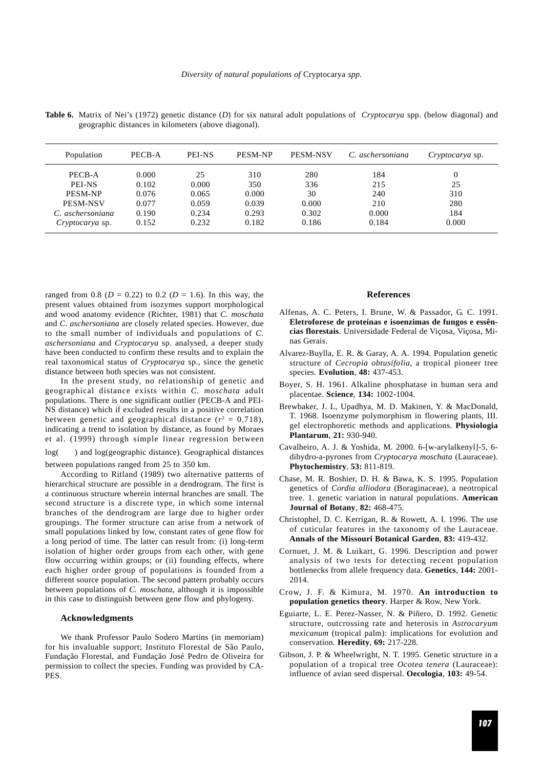**Table 6.** Matrix of Nei's (1972) genetic distance (*D*) for six natural adult populations of *Cryptocarya* spp. (below diagonal) and geographic distances in kilometers (above diagonal).

| Population             | PECB-A | <b>PEI-NS</b> | <b>PESM-NP</b> | <b>PESM-NSV</b> | C. aschersoniana | Cryptocarya sp. |
|------------------------|--------|---------------|----------------|-----------------|------------------|-----------------|
| PECB-A                 | 0.000  | 25            | 310            | 280             | 184              | 0               |
| <b>PEI-NS</b>          | 0.102  | 0.000         | 350            | 336             | 215              | 25              |
| <b>PESM-NP</b>         | 0.076  | 0.065         | 0.000          | 30              | 240              | 310             |
| <b>PESM-NSV</b>        | 0.077  | 0.059         | 0.039          | 0.000           | 210              | 280             |
| C. aschersoniana       | 0.190  | 0.234         | 0.293          | 0.302           | 0.000            | 184             |
| <i>Cryptocarya</i> sp. | 0.152  | 0.232         | 0.182          | 0.186           | 0.184            | 0.000           |

ranged from 0.8 ( $D = 0.22$ ) to 0.2 ( $D = 1.6$ ). In this way, the present values obtained from isozymes support morphological and wood anatomy evidence (Richter, 1981) that *C. moschata* and *C. aschersoniana* are closely related species. However, due to the small number of individuals and populations of *C. aschersoniana* and *Cryptocarya* sp. analysed, a deeper study have been conducted to confirm these results and to explain the real taxonomical status of *Cryptocarya* sp., since the genetic distance between both species was not consistent.

In the present study, no relationship of genetic and geographical distance exists within *C. moschata* adult populations. There is one significant outlier (PECB-A and PEI-NS distance) which if excluded results in a positive correlation between genetic and geographical distance  $(r^2 = 0.718)$ , indicating a trend to isolation by distance, as found by Moraes et al. (1999) through simple linear regression between

log( ) and log(geographic distance). Geographical distances between populations ranged from 25 to 350 km.

According to Ritland (1989) two alternative patterns of hierarchical structure are possible in a dendrogram. The first is a continuous structure wherein internal branches are small. The second structure is a discrete type, in which some internal branches of the dendrogram are large due to higher order groupings. The former structure can arise from a network of small populations linked by low, constant rates of gene flow for a long period of time. The latter can result from: (i) long-term isolation of higher order groups from each other, with gene flow occurring within groups; or (ii) founding effects, where each higher order group of populations is founded from a different source population. The second pattern probably occurs between populations of *C. moschata*, although it is impossible in this case to distinguish between gene flow and phylogeny.

# **Acknowledgments**

We thank Professor Paulo Sodero Martins (in memoriam) for his invaluable support; Instituto Florestal de São Paulo, Fundação Florestal, and Fundação José Pedro de Oliveira for permission to collect the species. Funding was provided by CA-PES.

# **References**

- Alfenas, A. C. Peters, I. Brune, W. & Passador, G. C. 1991. **Eletroforese de proteínas e isoenzimas de fungos e essências florestais**. Universidade Federal de Viçosa, Viçosa, Minas Gerais.
- Alvarez-Buylla, E. R. & Garay, A. A. 1994. Population genetic structure of *Cecropia obtusifolia*, a tropical pioneer tree species. **Evolution**, **48:** 437-453.
- Boyer, S. H. 1961. Alkaline phosphatase in human sera and placentae. **Science**, **134:** 1002-1004.
- Brewbaker, J. L, Upadhya, M. D. Makinen, Y. & MacDonald, T. 1968. Isoenzyme polymorphism in flowering plants, III. gel electrophoretic methods and applications. **Physiologia Plantarum**, **21:** 930-940.
- Cavalheiro, A. J. & Yoshida, M. 2000. 6-[w-arylalkenyl]-5, 6 dihydro-a-pyrones from *Cryptocarya moschata* (Lauraceae). **Phytochemistry**, **53:** 811-819.
- Chase, M. R. Boshier, D. H. & Bawa, K. S. 1995. Population genetics of *Cordia alliodora* (Boraginaceae), a neotropical tree. 1. genetic variation in natural populations. **American Journal of Botany**, **82:** 468-475.
- Christophel, D. C. Kerrigan, R. & Rowett, A. I. 1996. The use of cuticular features in the taxonomy of the Lauraceae. **Annals of the Missouri Botanical Garden**, **83:** 419-432.
- Cornuet, J. M. & Luikart, G. 1996. Description and power analysis of two tests for detecting recent population bottlenecks from allele frequency data. **Genetics**, **144:** 2001- 2014.
- Crow, J. F. & Kimura, M. 1970. **An introduction to population genetics theory**. Harper & Row, New York.
- Eguiarte, L. E. Perez-Nasser, N. & Piñero, D. 1992. Genetic structure, outcrossing rate and heterosis in *Astrocaryum mexicanum* (tropical palm): implications for evolution and conservation. **Heredity**, **69:** 217-228.
- Gibson, J. P. & Wheelwright, N. T. 1995. Genetic structure in a population of a tropical tree *Ocotea tenera* (Lauraceae): influence of avian seed dispersal. **Oecologia**, **103:** 49-54.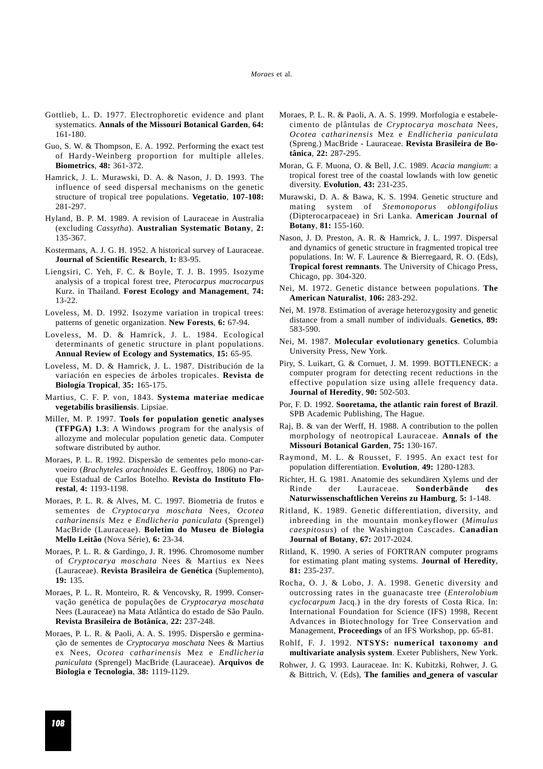- Gottlieb, L. D. 1977. Electrophoretic evidence and plant systematics. **Annals of the Missouri Botanical Garden**, **64:** 161-180.
- Guo, S. W. & Thompson, E. A. 1992. Performing the exact test of Hardy-Weinberg proportion for multiple alleles. **Biometrics**, **48:** 361-372.
- Hamrick, J. L. Murawski, D. A. & Nason, J. D. 1993. The influence of seed dispersal mechanisms on the genetic structure of tropical tree populations. **Vegetatio**, **107-108:** 281-297.
- Hyland, B. P. M. 1989. A revision of Lauraceae in Australia (excluding *Cassytha*). **Australian Systematic Botany**, **2:** 135-367.
- Kostermans, A. J. G. H. 1952. A historical survey of Lauraceae. **Journal of Scientific Research**, **1:** 83-95.
- Liengsiri, C. Yeh, F. C. & Boyle, T. J. B. 1995. Isozyme analysis of a tropical forest tree, *Pterocarpus macrocarpus* Kurz. in Thailand. **Forest Ecology and Management**, **74:** 13-22.
- Loveless, M. D. 1992. Isozyme variation in tropical trees: patterns of genetic organization. **New Forests**, **6:** 67-94.
- Loveless, M. D. & Hamrick, J. L. 1984. Ecological determinants of genetic structure in plant populations. **Annual Review of Ecology and Systematics**, **15:** 65-95.
- Loveless, M. D. & Hamrick, J. L. 1987. Distribución de la variación en especies de árboles tropicales. **Revista de Biología Tropical**, **35:** 165-175.
- Martius, C. F. P. von, 1843. **Systema materiae medicae vegetabilis brasiliensis**. Lipsiae.
- Miller, M. P. 1997. **Tools for population genetic analyses (TFPGA) 1.3**: A Windows program for the analysis of allozyme and molecular population genetic data. Computer software distributed by author.
- Moraes, P. L. R. 1992. Dispersão de sementes pelo mono-carvoeiro (*Brachyteles arachnoides* E. Geoffroy, 1806) no Parque Estadual de Carlos Botelho. **Revista do Instituto Florestal**, **4:** 1193-1198.
- Moraes, P. L. R. & Alves, M. C. 1997. Biometria de frutos e sementes de *Cryptocarya moschata* Nees, *Ocotea catharinensis* Mez e *Endlicheria paniculata* (Sprengel) MacBride (Lauraceae). **Boletim do Museu de Biologia Mello Leitão** (Nova Série), **6:** 23-34.
- Moraes, P. L. R. & Gardingo, J. R. 1996. Chromosome number of *Cryptocarya moschata* Nees & Martius ex Nees (Lauraceae). **Revista Brasileira de Genética** (Suplemento), **19:** 135.
- Moraes, P. L. R. Monteiro, R. & Vencovsky, R. 1999. Conservação genética de populações de *Cryptocarya moschata* Nees (Lauraceae) na Mata Atlântica do estado de São Paulo. **Revista Brasileira de Botânica**, **22:** 237-248.
- Moraes, P. L. R. & Paoli, A. A. S. 1995. Dispersão e germinação de sementes de *Cryptocarya moschata* Nees & Martius ex Nees, *Ocotea catharinensis* Mez e *Endlicheria paniculata* (Sprengel) MacBride (Lauraceae). **Arquivos de Biologia e Tecnologia**, **38:** 1119-1129.
- Moraes, P. L. R. & Paoli, A. A. S. 1999. Morfologia e estabelecimento de plântulas de *Cryptocarya moschata* Nees, *Ocotea catharinensis* Mez e *Endlicheria paniculata* (Spreng.) MacBride - Lauraceae. **Revista Brasileira de Botânica**, **22:** 287-295.
- Moran, G. F. Muona, O. & Bell, J.C. 1989. *Acacia mangium*: a tropical forest tree of the coastal lowlands with low genetic diversity. **Evolution**, **43:** 231-235.
- Murawski, D. A. & Bawa, K. S. 1994. Genetic structure and mating system of *Stemonoporus oblongifolius* (Dipterocarpaceae) in Sri Lanka. **American Journal of Botany**, **81:** 155-160.
- Nason, J. D. Preston, A. R. & Hamrick, J. L. 1997. Dispersal and dynamics of genetic structure in fragmented tropical tree populations. In: W. F. Laurence & Bierregaard, R. O. (Eds), **Tropical forest remnants**. The University of Chicago Press, Chicago, pp. 304-320.
- Nei, M. 1972. Genetic distance between populations. **The American Naturalist**, **106:** 283-292.
- Nei, M. 1978. Estimation of average heterozygosity and genetic distance from a small number of individuals. **Genetics**, **89:** 583-590.
- Nei, M. 1987. **Molecular evolutionary genetics**. Columbia University Press, New York.
- Piry, S. Luikart, G. & Cornuet, J. M. 1999. BOTTLENECK: a computer program for detecting recent reductions in the effective population size using allele frequency data. **Journal of Heredity**, **90:** 502-503.
- Por, F. D. 1992. **Sooretama, the atlantic rain forest of Brazil**. SPB Academic Publishing, The Hague.
- Raj, B. & van der Werff, H. 1988. A contribution to the pollen morphology of neotropical Lauraceae. **Annals of the Missouri Botanical Garden**, **75:** 130-167.
- Raymond, M. L. & Rousset, F. 1995. An exact test for population differentiation. **Evolution**, **49:** 1280-1283.
- Richter, H. G. 1981. Anatomie des sekundären Xylems und der Rinde der Lauraceae. **Sonderbände des Naturwissenschaftlichen Vereins zu Hamburg**, **5:** 1-148.
- Ritland, K. 1989. Genetic differentiation, diversity, and inbreeding in the mountain monkeyflower (*Mimulus caespitosus*) of the Washington Cascades. **Canadian Journal of Botany**, **67:** 2017-2024.
- Ritland, K. 1990. A series of FORTRAN computer programs for estimating plant mating systems. **Journal of Heredity**, **81:** 235-237.
- Rocha, O. J. & Lobo, J. A. 1998. Genetic diversity and outcrossing rates in the guanacaste tree (*Enterolobium cyclocarpum* Jacq.) in the dry forests of Costa Rica. In: International Foundation for Science (IFS) 1998, Recent Advances in Biotechnology for Tree Conservation and Management, **Proceedings** of an IFS Workshop, pp. 65-81.
- Rohlf, F. J. 1992. **NTSYS: numerical taxonomy and multivariate analysis system**. Exeter Publishers, New York.
- Rohwer, J. G. 1993. Lauraceae. In: K. Kubitzki, Rohwer, J. G. & Bittrich, V. (Eds), **The families and genera of vascular**